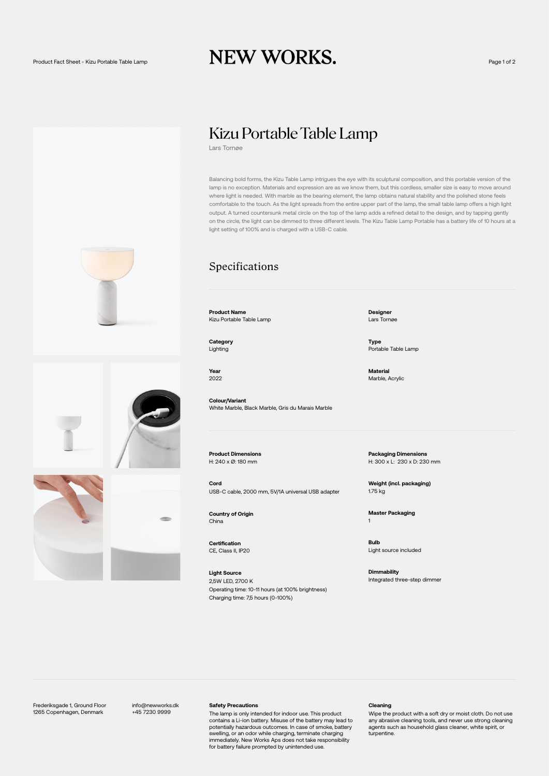## Product Fact Sheet - Kizu Portable Table Lamp  $\bold{NEW WORKS.}$

## Kizu Portable Table Lamp

Lars Tornøe

Balancing bold forms, the Kizu Table Lamp intrigues the eye with its sculptural composition, and this portable version of the lamp is no exception. Materials and expression are as we know them, but this cordless, smaller size is easy to move around where light is needed. With marble as the bearing element, the lamp obtains natural stability and the polished stone feels comfortable to the touch. As the light spreads from the entire upper part of the lamp, the small table lamp offers a high light output. A turned countersunk metal circle on the top of the lamp adds a refined detail to the design, and by tapping gently on the circle, the light can be dimmed to three different levels. The Kizu Table Lamp Portable has a battery life of 10 hours at a light setting of 100% and is charged with a USB-C cable.

### Specifications

**Product Name** Kizu Portable Table Lamp

**Category** Lighting

**Year** 2022

**Colour/Variant** White Marble, Black Marble, Gris du Marais Marble

**Product Dimensions** H: 240 x Ø: 180 mm

**Cord** USB-C cable, 2000 mm, 5V/1A universal USB adapter

**Country of Origin** China

**Certification** CE, Class II, IP20

**Light Source** 2,5W LED, 2700 K Operating time: 10-11 hours (at 100% brightness) Charging time: 7,5 hours (0-100%)

**Designer** Lars Tornøe

**Type** Portable Table Lamp

**Material** Marble, Acrylic

**Packaging Dimensions** H: 300 x L: 230 x D: 230 mm

**Weight (incl. packaging)** 1.75 kg

**Master Packaging** 1

**Bulb** Light source included

**Dimmability** Integrated three-step dimmer





Frederiksgade 1, Ground Floor 1265 Copenhagen, Denmark

info@newworks.dk +45 7230 9999

#### **Safety Precautions**

The lamp is only intended for indoor use. This product contains a Li-ion battery. Misuse of the battery may lead to potentially hazardous outcomes. In case of smoke, battery swelling, or an odor while charging, terminate charging immediately. New Works Aps does not take responsibility for battery failure prompted by unintended use.

#### **Cleaning**

Wipe the product with a soft dry or moist cloth. Do not use any abrasive cleaning tools, and never use strong cleaning agents such as household glass cleaner, white spirit, or turpentine.